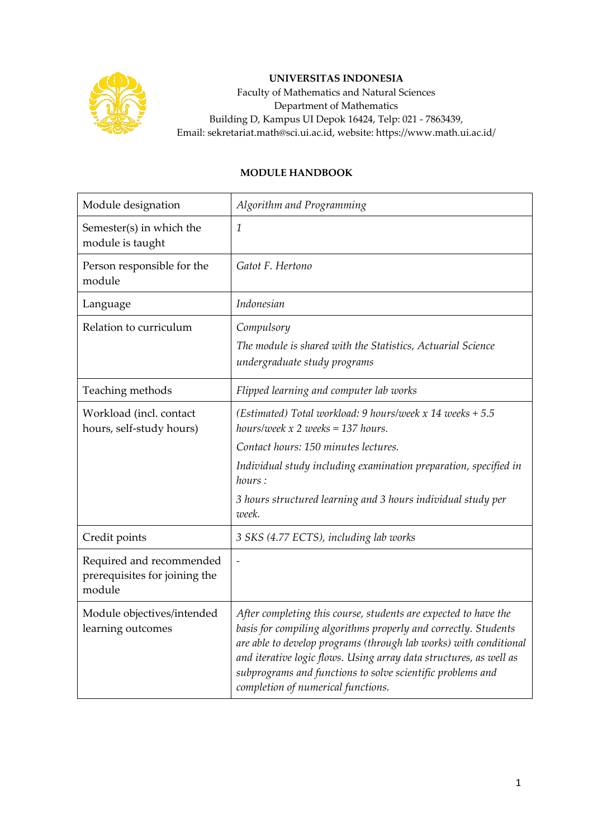

## **UNIVERSITAS INDONESIA**

Faculty of Mathematics and Natural Sciences Department of Mathematics Building D, Kampus UI Depok 16424, Telp: 021 - 7863439, Email: sekretariat.math@sci.ui.ac.id, website: https://www.math.ui.ac.id/

## **MODULE HANDBOOK**

| Module designation                                                  | Algorithm and Programming                                                                                                                                                                                                                                                                                                                                                         |
|---------------------------------------------------------------------|-----------------------------------------------------------------------------------------------------------------------------------------------------------------------------------------------------------------------------------------------------------------------------------------------------------------------------------------------------------------------------------|
| Semester(s) in which the<br>module is taught                        | $\mathcal{I}$                                                                                                                                                                                                                                                                                                                                                                     |
| Person responsible for the<br>module                                | Gatot F. Hertono                                                                                                                                                                                                                                                                                                                                                                  |
| Language                                                            | Indonesian                                                                                                                                                                                                                                                                                                                                                                        |
| Relation to curriculum                                              | Compulsory<br>The module is shared with the Statistics, Actuarial Science<br>undergraduate study programs                                                                                                                                                                                                                                                                         |
| Teaching methods                                                    | Flipped learning and computer lab works                                                                                                                                                                                                                                                                                                                                           |
| Workload (incl. contact<br>hours, self-study hours)                 | (Estimated) Total workload: 9 hours/week $x$ 14 weeks + 5.5<br>hours/week $x$ 2 weeks = 137 hours.<br>Contact hours: 150 minutes lectures.                                                                                                                                                                                                                                        |
|                                                                     | Individual study including examination preparation, specified in<br>hours:                                                                                                                                                                                                                                                                                                        |
|                                                                     | 3 hours structured learning and 3 hours individual study per<br>week.                                                                                                                                                                                                                                                                                                             |
| Credit points                                                       | 3 SKS (4.77 ECTS), including lab works                                                                                                                                                                                                                                                                                                                                            |
| Required and recommended<br>prerequisites for joining the<br>module | $\overline{a}$                                                                                                                                                                                                                                                                                                                                                                    |
| Module objectives/intended<br>learning outcomes                     | After completing this course, students are expected to have the<br>basis for compiling algorithms properly and correctly. Students<br>are able to develop programs (through lab works) with conditional<br>and iterative logic flows. Using array data structures, as well as<br>subprograms and functions to solve scientific problems and<br>completion of numerical functions. |